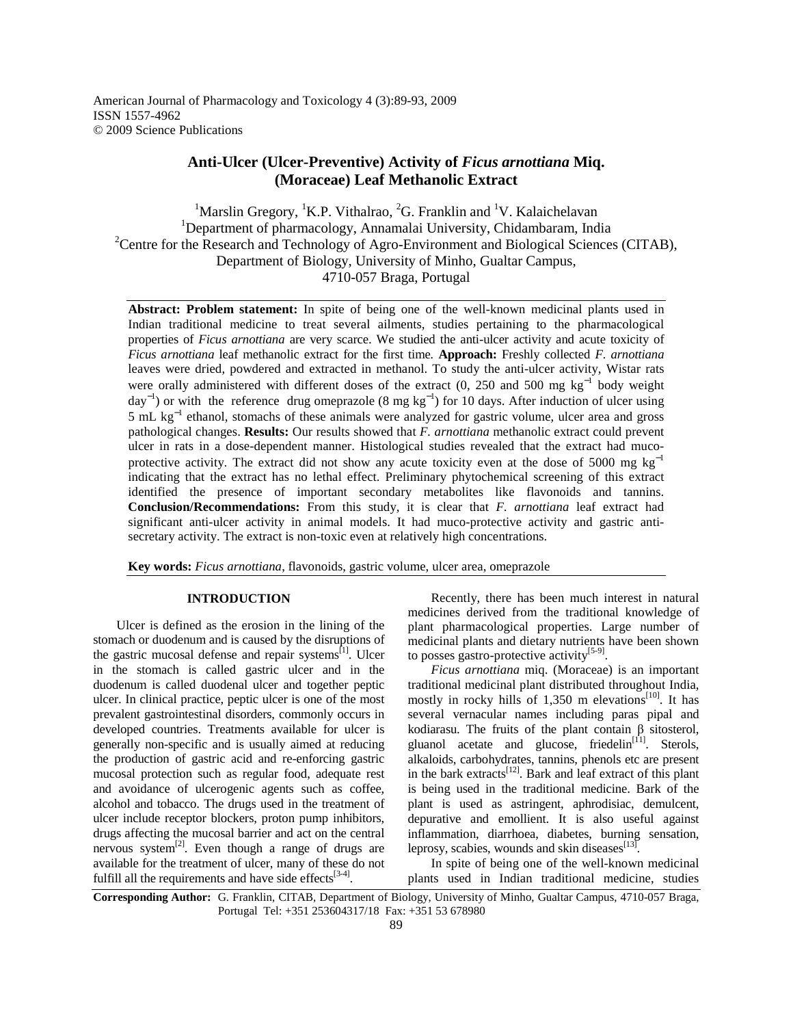American Journal of Pharmacology and Toxicology 4 (3):89-93, 2009 ISSN 1557-4962 © 2009 Science Publications

# **Anti-Ulcer (Ulcer-Preventive) Activity of** *Ficus arnottiana* **Miq. (Moraceae) Leaf Methanolic Extract**

<sup>1</sup>Marslin Gregory, <sup>1</sup>K.P. Vithalrao, <sup>2</sup>G. Franklin and <sup>1</sup>V. Kalaichelavan <sup>1</sup>Department of pharmacology, Annamalai University, Chidambaram, India <sup>2</sup>Centre for the Research and Technology of Agro-Environment and Biological Sciences (CITAB), Department of Biology, University of Minho, Gualtar Campus, 4710-057 Braga, Portugal

**Abstract: Problem statement:** In spite of being one of the well-known medicinal plants used in Indian traditional medicine to treat several ailments, studies pertaining to the pharmacological properties of *Ficus arnottiana* are very scarce. We studied the anti-ulcer activity and acute toxicity of *Ficus arnottiana* leaf methanolic extract for the first time*.* **Approach:** Freshly collected *F. arnottiana* leaves were dried, powdered and extracted in methanol. To study the anti-ulcer activity, Wistar rats were orally administered with different doses of the extract (0, 250 and 500 mg kg<sup>-1</sup> body weight  $day^{-1}$ ) or with the reference drug omeprazole (8 mg kg<sup>-1</sup>) for 10 days. After induction of ulcer using 5 mL kg<sup>-1</sup> ethanol, stomachs of these animals were analyzed for gastric volume, ulcer area and gross pathological changes. **Results:** Our results showed that *F. arnottiana* methanolic extract could prevent ulcer in rats in a dose-dependent manner. Histological studies revealed that the extract had mucoprotective activity. The extract did not show any acute toxicity even at the dose of 5000 mg  $kg^{-1}$ indicating that the extract has no lethal effect. Preliminary phytochemical screening of this extract identified the presence of important secondary metabolites like flavonoids and tannins. **Conclusion/Recommendations:** From this study, it is clear that *F. arnottiana* leaf extract had significant anti-ulcer activity in animal models. It had muco-protective activity and gastric antisecretary activity. The extract is non-toxic even at relatively high concentrations.

**Key words:** *Ficus arnottiana*, flavonoids, gastric volume, ulcer area, omeprazole

# **INTRODUCTION**

 Ulcer is defined as the erosion in the lining of the stomach or duodenum and is caused by the disruptions of the gastric mucosal defense and repair systems $^{[1]}$ . Ulcer in the stomach is called gastric ulcer and in the duodenum is called duodenal ulcer and together peptic ulcer. In clinical practice, peptic ulcer is one of the most prevalent gastrointestinal disorders, commonly occurs in developed countries. Treatments available for ulcer is generally non-specific and is usually aimed at reducing the production of gastric acid and re-enforcing gastric mucosal protection such as regular food, adequate rest and avoidance of ulcerogenic agents such as coffee, alcohol and tobacco. The drugs used in the treatment of ulcer include receptor blockers, proton pump inhibitors, drugs affecting the mucosal barrier and act on the central nervous system<sup>[2]</sup>. Even though a range of drugs are available for the treatment of ulcer, many of these do not fulfill all the requirements and have side effects<sup>[3-4]</sup>.

 Recently, there has been much interest in natural medicines derived from the traditional knowledge of plant pharmacological properties. Large number of medicinal plants and dietary nutrients have been shown to posses gastro-protective activity $^{[5-9]}$ .

 *Ficus arnottiana* miq. (Moraceae) is an important traditional medicinal plant distributed throughout India, mostly in rocky hills of 1,350 m elevations<sup>[10]</sup>. It has several vernacular names including paras pipal and kodiarasu. The fruits of the plant contain β sitosterol, gluanol acetate and glucose, friedelin<sup>[11]</sup>. Sterols, alkaloids, carbohydrates, tannins, phenols etc are present in the bark extracts<sup>[12]</sup>. Bark and leaf extract of this plant is being used in the traditional medicine. Bark of the plant is used as astringent, aphrodisiac, demulcent, depurative and emollient. It is also useful against inflammation, diarrhoea, diabetes, burning sensation, leprosy, scabies, wounds and skin diseases $^{[13]}$ .

 In spite of being one of the well-known medicinal plants used in Indian traditional medicine, studies

**Corresponding Author:** G. Franklin, CITAB, Department of Biology, University of Minho, Gualtar Campus, 4710-057 Braga, Portugal Tel: +351 253604317/18 Fax: +351 53 678980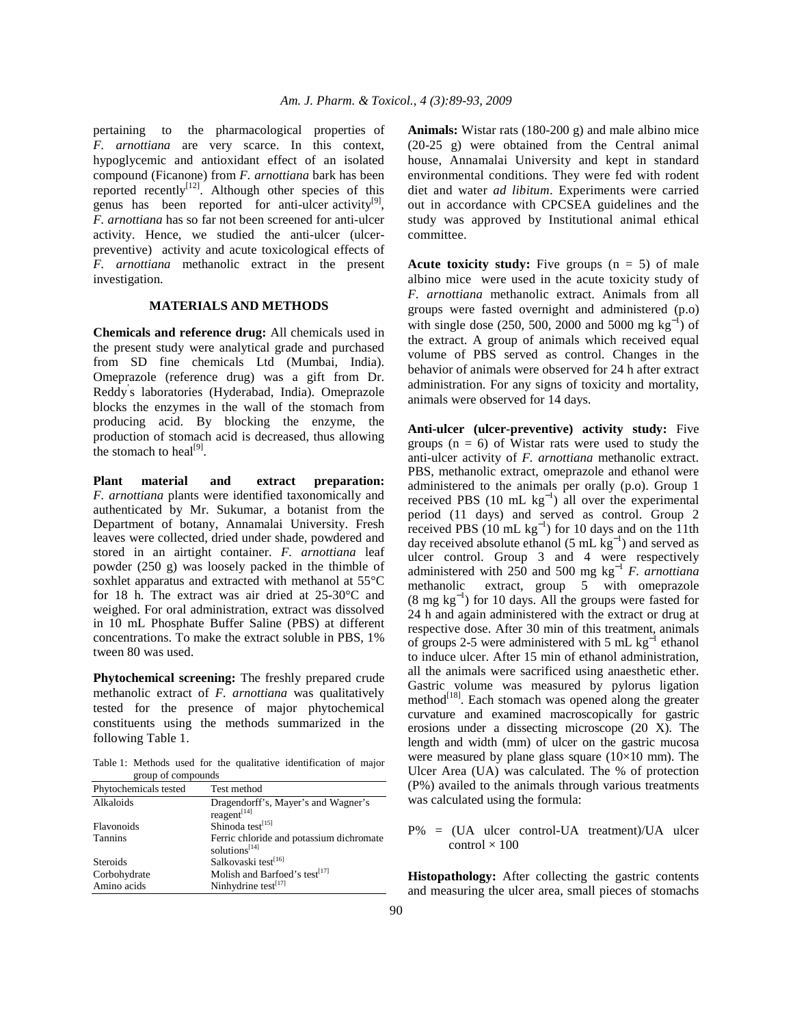pertaining to the pharmacological properties of *F. arnottiana* are very scarce. In this context, hypoglycemic and antioxidant effect of an isolated compound (Ficanone) from *F. arnottiana* bark has been reported recently<sup>[12]</sup>. Although other species of this genus has been reported for anti-ulcer activity $[9]$ , *F. arnottiana* has so far not been screened for anti-ulcer activity. Hence, we studied the anti-ulcer (ulcerpreventive) activity and acute toxicological effects of *F. arnottiana* methanolic extract in the present investigation.

## **MATERIALS AND METHODS**

**Chemicals and reference drug:** All chemicals used in the present study were analytical grade and purchased from SD fine chemicals Ltd (Mumbai, India). Omeprazole (reference drug) was a gift from Dr. Reddy' s laboratories (Hyderabad, India). Omeprazole blocks the enzymes in the wall of the stomach from producing acid. By blocking the enzyme, the production of stomach acid is decreased, thus allowing the stomach to heal $^{[9]}$ .

**Plant material and extract preparation:**  *F. arnottiana* plants were identified taxonomically and authenticated by Mr. Sukumar, a botanist from the Department of botany, Annamalai University. Fresh leaves were collected, dried under shade, powdered and stored in an airtight container. *F. arnottiana* leaf powder (250 g) was loosely packed in the thimble of soxhlet apparatus and extracted with methanol at 55°C for 18 h. The extract was air dried at 25-30°C and weighed. For oral administration, extract was dissolved in 10 mL Phosphate Buffer Saline (PBS) at different concentrations. To make the extract soluble in PBS, 1% tween 80 was used.

**Phytochemical screening:** The freshly prepared crude methanolic extract of *F. arnottiana* was qualitatively tested for the presence of major phytochemical constituents using the methods summarized in the following Table 1.

Table 1: Methods used for the qualitative identification of major group of compounds

| Phytochemicals tested | Test method                                                     |
|-----------------------|-----------------------------------------------------------------|
| Alkaloids             | Dragendorff's, Mayer's and Wagner's<br>reagent $[14]$           |
| Flavonoids            | Shinoda test[15]                                                |
| <b>Tannins</b>        | Ferric chloride and potassium dichromate<br>solutions $^{[14]}$ |
| <b>Steroids</b>       | Salkovaski test <sup>[16]</sup>                                 |
| Corbohydrate          | Molish and Barfoed's test <sup>[17]</sup>                       |
| Amino acids           | Ninhydrine test <sup>[17]</sup>                                 |

**Animals:** Wistar rats (180-200 g) and male albino mice (20-25 g) were obtained from the Central animal house, Annamalai University and kept in standard environmental conditions. They were fed with rodent diet and water *ad libitum*. Experiments were carried out in accordance with CPCSEA guidelines and the study was approved by Institutional animal ethical committee.

**Acute toxicity study:** Five groups  $(n = 5)$  of male albino mice were used in the acute toxicity study of *F. arnottiana* methanolic extract. Animals from all groups were fasted overnight and administered (p.o) with single dose  $(250, 500, 2000, 2000, 5000,$  mg kg<sup>-1</sup>) of the extract. A group of animals which received equal volume of PBS served as control. Changes in the behavior of animals were observed for 24 h after extract administration. For any signs of toxicity and mortality, animals were observed for 14 days.

**Anti-ulcer (ulcer-preventive) activity study:** Five groups  $(n = 6)$  of Wistar rats were used to study the anti-ulcer activity of *F. arnottiana* methanolic extract. PBS, methanolic extract, omeprazole and ethanol were administered to the animals per orally (p.o). Group 1 received PBS  $(10 \text{ mL kg}^{-1})$  all over the experimental period (11 days) and served as control. Group 2 received PBS ( $10 \text{ mL kg}^{-1}$ ) for 10 days and on the 11th day received absolute ethanol (5 mL  $\text{kg}^{-1}$ ) and served as ulcer control. Group 3 and 4 were respectively administered with 250 and 500 mg kg<sup>−</sup><sup>1</sup> *F. arnottiana* methanolic extract, group 5 with omeprazole (8 mg kg<sup>−</sup><sup>1</sup> ) for 10 days. All the groups were fasted for 24 h and again administered with the extract or drug at respective dose. After 30 min of this treatment, animals of groups 2-5 were administered with 5 mL  $kg^{-1}$  ethanol to induce ulcer. After 15 min of ethanol administration, all the animals were sacrificed using anaesthetic ether. Gastric volume was measured by pylorus ligation method<sup>[18]</sup>. Each stomach was opened along the greater curvature and examined macroscopically for gastric erosions under a dissecting microscope (20 X). The length and width (mm) of ulcer on the gastric mucosa were measured by plane glass square  $(10\times10$  mm). The Ulcer Area (UA) was calculated. The % of protection (P%) availed to the animals through various treatments was calculated using the formula:

P% = (UA ulcer control-UA treatment)/UA ulcer  $control \times 100$ 

**Histopathology:** After collecting the gastric contents and measuring the ulcer area, small pieces of stomachs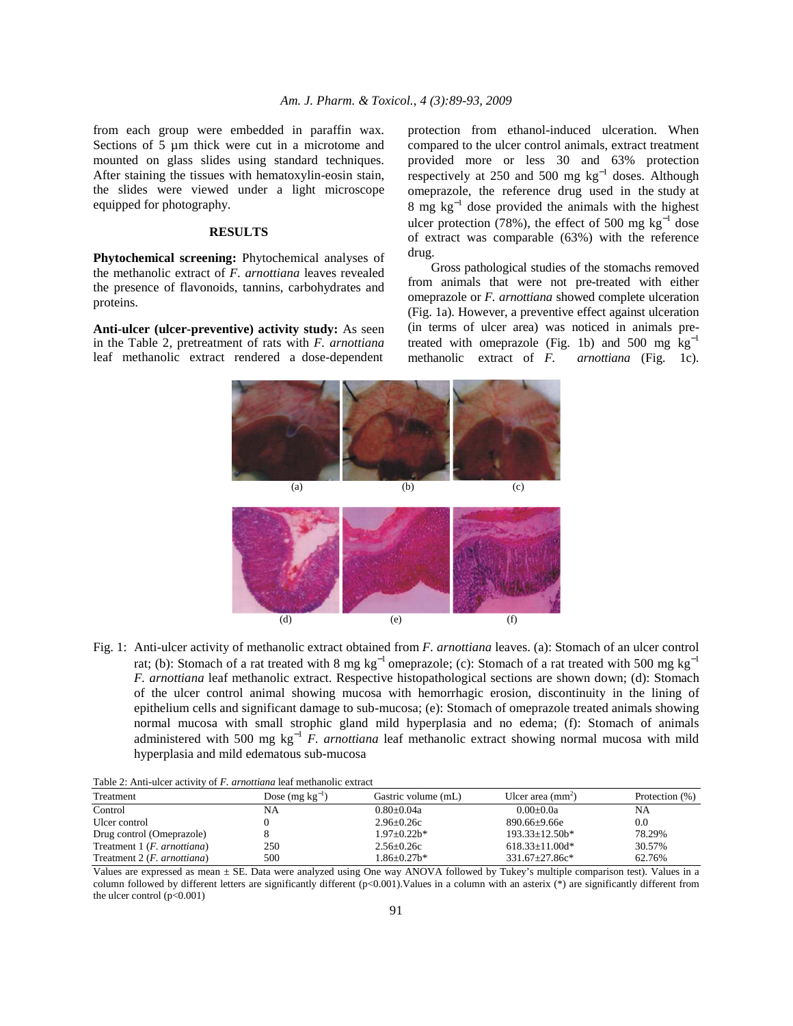from each group were embedded in paraffin wax. Sections of 5  $\mu$ m thick were cut in a microtome and mounted on glass slides using standard techniques. After staining the tissues with hematoxylin-eosin stain, the slides were viewed under a light microscope equipped for photography.

#### **RESULTS**

**Phytochemical screening:** Phytochemical analyses of the methanolic extract of *F. arnottiana* leaves revealed the presence of flavonoids, tannins, carbohydrates and proteins.

**Anti-ulcer (ulcer-preventive) activity study:** As seen in the Table 2, pretreatment of rats with *F. arnottiana*  leaf methanolic extract rendered a dose-dependent protection from ethanol-induced ulceration. When compared to the ulcer control animals, extract treatment provided more or less 30 and 63% protection respectively at 250 and 500 mg  $kg^{-1}$  doses. Although omeprazole, the reference drug used in the study at 8 mg  $kg^{-1}$  dose provided the animals with the highest ulcer protection (78%), the effect of 500 mg  $kg^{-1}$  dose of extract was comparable (63%) with the reference drug.

 Gross pathological studies of the stomachs removed from animals that were not pre-treated with either omeprazole or *F. arnottiana* showed complete ulceration (Fig. 1a). However, a preventive effect against ulceration (in terms of ulcer area) was noticed in animals pretreated with omeprazole (Fig. 1b) and 500 mg  $kg^{-1}$ <br>methanolic extract of *F*. *arnottiana* (Fig. 1c). methanolic extract of *F*.



Fig. 1: Anti-ulcer activity of methanolic extract obtained from *F. arnottiana* leaves. (a): Stomach of an ulcer control rat; (b): Stomach of a rat treated with 8 mg kg<sup>-1</sup> omeprazole; (c): Stomach of a rat treated with 500 mg kg<sup>-1</sup> *F. arnottiana* leaf methanolic extract. Respective histopathological sections are shown down; (d): Stomach of the ulcer control animal showing mucosa with hemorrhagic erosion, discontinuity in the lining of epithelium cells and significant damage to sub-mucosa; (e): Stomach of omeprazole treated animals showing normal mucosa with small strophic gland mild hyperplasia and no edema; (f): Stomach of animals administered with 500 mg kg<sup>−</sup><sup>1</sup> *F. arnottiana* leaf methanolic extract showing normal mucosa with mild hyperplasia and mild edematous sub-mucosa

| Table 2: Anti-ulcer activity of <i>F. arnottiana</i> leaf methanolic extract |  |  |
|------------------------------------------------------------------------------|--|--|
|                                                                              |  |  |

| Treatment                            | Dose $(mg kg^{-1})$ | Gastric volume (mL) | Ulcer area $(mm2)$   | Protection (%) |
|--------------------------------------|---------------------|---------------------|----------------------|----------------|
| Control                              | NA                  | $0.80 \pm 0.04a$    | $0.00+0.0a$          | NA             |
| Ulcer control                        |                     | $2.96 \pm 0.26c$    | $890.66 + 9.66e$     | 0.0            |
| Drug control (Omeprazole)            |                     | $1.97 + 0.22h*$     | $193.33 + 12.50h*$   | 78.29%         |
| Treatment 1 ( <i>F. arnottiana</i> ) | 250                 | $2.56 \pm 0.26c$    | $618.33+11.00d*$     | 30.57%         |
| Treatment 2 ( <i>F. arnottiana</i> ) | 500                 | $1.86 + 0.27$ b*    | $331.67 \pm 27.86c*$ | 62.76%         |

Values are expressed as mean ± SE. Data were analyzed using One way ANOVA followed by Tukey's multiple comparison test). Values in a column followed by different letters are significantly different (p<0.001).Values in a column with an asterix (\*) are significantly different from the ulcer control  $(p<0.001)$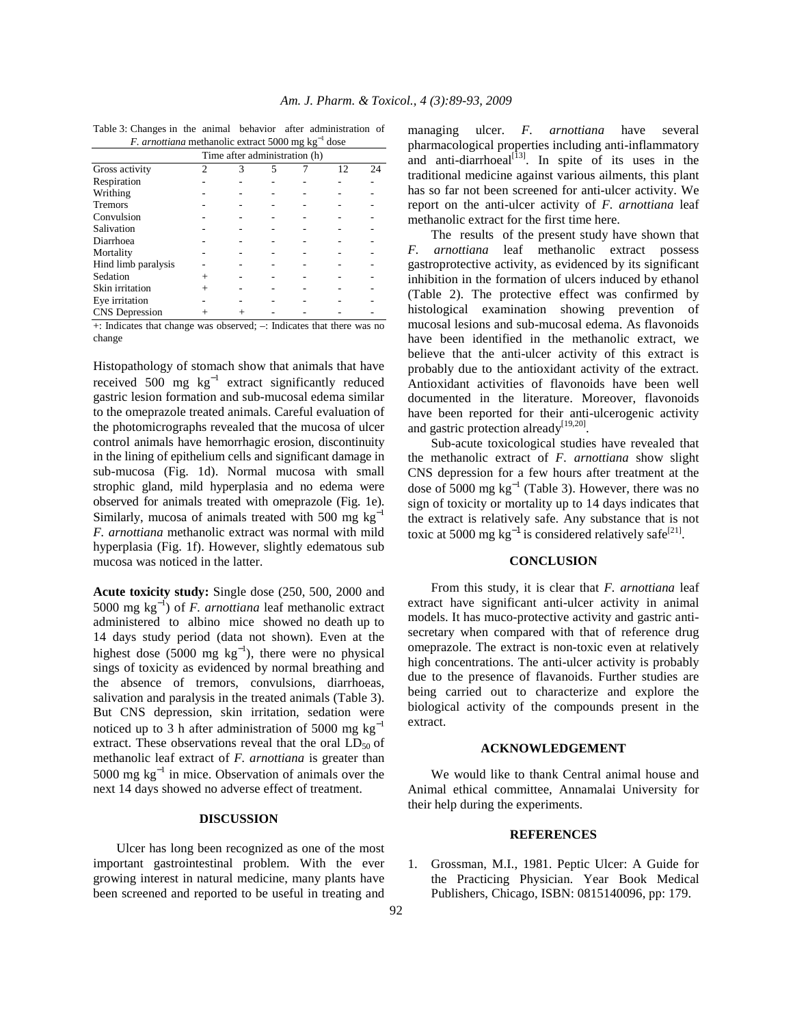| <i>F. arnottiana</i> methanolic extract 5000 mg kg |                               |        |                          |     | dose |    |
|----------------------------------------------------|-------------------------------|--------|--------------------------|-----|------|----|
|                                                    | Time after administration (h) |        |                          |     |      |    |
| Gross activity                                     | ∍                             | 3      | 5                        |     | 12   | 24 |
| Respiration                                        |                               |        |                          |     |      |    |
| Writhing                                           |                               |        |                          |     |      |    |
| <b>Tremors</b>                                     |                               |        |                          |     |      |    |
| Convulsion                                         |                               |        |                          |     |      |    |
| Salivation                                         |                               |        |                          |     |      |    |
| Diarrhoea                                          |                               |        |                          |     |      |    |
| Mortality                                          |                               |        |                          |     |      |    |
| Hind limb paralysis                                |                               |        |                          |     |      |    |
| Sedation                                           | $^{+}$                        |        |                          |     |      |    |
| Skin irritation                                    |                               |        |                          |     |      |    |
| Eye irritation                                     |                               |        |                          |     |      |    |
| <b>CNS</b> Depression                              |                               |        |                          |     |      |    |
| - -                                                |                               | ٠<br>٠ | $\overline{\phantom{a}}$ | . . |      |    |

Table 3: Changes in the animal behavior after administration of *F. arnottiana* methanolic extract 5000 mg kg<sup>-1</sup> dose

+: Indicates that change was observed; –: Indicates that there was no change

Histopathology of stomach show that animals that have received 500 mg  $kg^{-1}$  extract significantly reduced gastric lesion formation and sub-mucosal edema similar to the omeprazole treated animals. Careful evaluation of the photomicrographs revealed that the mucosa of ulcer control animals have hemorrhagic erosion, discontinuity in the lining of epithelium cells and significant damage in sub-mucosa (Fig. 1d). Normal mucosa with small strophic gland, mild hyperplasia and no edema were observed for animals treated with omeprazole (Fig. 1e). Similarly, mucosa of animals treated with 500 mg  $kg^{-1}$ *F. arnottiana* methanolic extract was normal with mild hyperplasia (Fig. 1f). However, slightly edematous sub mucosa was noticed in the latter.

**Acute toxicity study:** Single dose (250, 500, 2000 and 5000 mg kg<sup>−</sup><sup>1</sup> ) of *F. arnottiana* leaf methanolic extract administered to albino mice showed no death up to 14 days study period (data not shown). Even at the highest dose (5000 mg  $kg^{-1}$ ), there were no physical sings of toxicity as evidenced by normal breathing and the absence of tremors, convulsions, diarrhoeas, salivation and paralysis in the treated animals (Table 3). But CNS depression, skin irritation, sedation were noticed up to 3 h after administration of 5000 mg  $kg^{-1}$ extract. These observations reveal that the oral  $LD_{50}$  of methanolic leaf extract of *F. arnottiana* is greater than 5000 mg  $kg^{-1}$  in mice. Observation of animals over the next 14 days showed no adverse effect of treatment.

## **DISCUSSION**

 Ulcer has long been recognized as one of the most important gastrointestinal problem. With the ever growing interest in natural medicine, many plants have been screened and reported to be useful in treating and managing ulcer. *F. arnottiana* have several pharmacological properties including anti-inflammatory and anti-diarrhoeal $[13]$ . In spite of its uses in the traditional medicine against various ailments, this plant has so far not been screened for anti-ulcer activity. We report on the anti-ulcer activity of *F. arnottiana* leaf methanolic extract for the first time here.

 The results of the present study have shown that *F. arnottiana* leaf methanolic extract possess gastroprotective activity, as evidenced by its significant inhibition in the formation of ulcers induced by ethanol (Table 2). The protective effect was confirmed by histological examination showing prevention of mucosal lesions and sub-mucosal edema. As flavonoids have been identified in the methanolic extract, we believe that the anti-ulcer activity of this extract is probably due to the antioxidant activity of the extract. Antioxidant activities of flavonoids have been well documented in the literature. Moreover, flavonoids have been reported for their anti-ulcerogenic activity and gastric protection already<sup>[19,20]</sup>.

 Sub-acute toxicological studies have revealed that the methanolic extract of *F. arnottiana* show slight CNS depression for a few hours after treatment at the dose of 5000 mg  $kg^{-1}$  (Table 3). However, there was no sign of toxicity or mortality up to 14 days indicates that the extract is relatively safe. Any substance that is not toxic at 5000 mg  $kg^{-1}$  is considered relatively safe<sup>[21]</sup>.

#### **CONCLUSION**

 From this study, it is clear that *F. arnottiana* leaf extract have significant anti-ulcer activity in animal models. It has muco-protective activity and gastric antisecretary when compared with that of reference drug omeprazole. The extract is non-toxic even at relatively high concentrations. The anti-ulcer activity is probably due to the presence of flavanoids. Further studies are being carried out to characterize and explore the biological activity of the compounds present in the extract.

#### **ACKNOWLEDGEMENT**

 We would like to thank Central animal house and Animal ethical committee, Annamalai University for their help during the experiments.

### **REFERENCES**

1. Grossman, M.I., 1981. Peptic Ulcer: A Guide for the Practicing Physician. Year Book Medical Publishers, Chicago, ISBN: 0815140096, pp: 179.